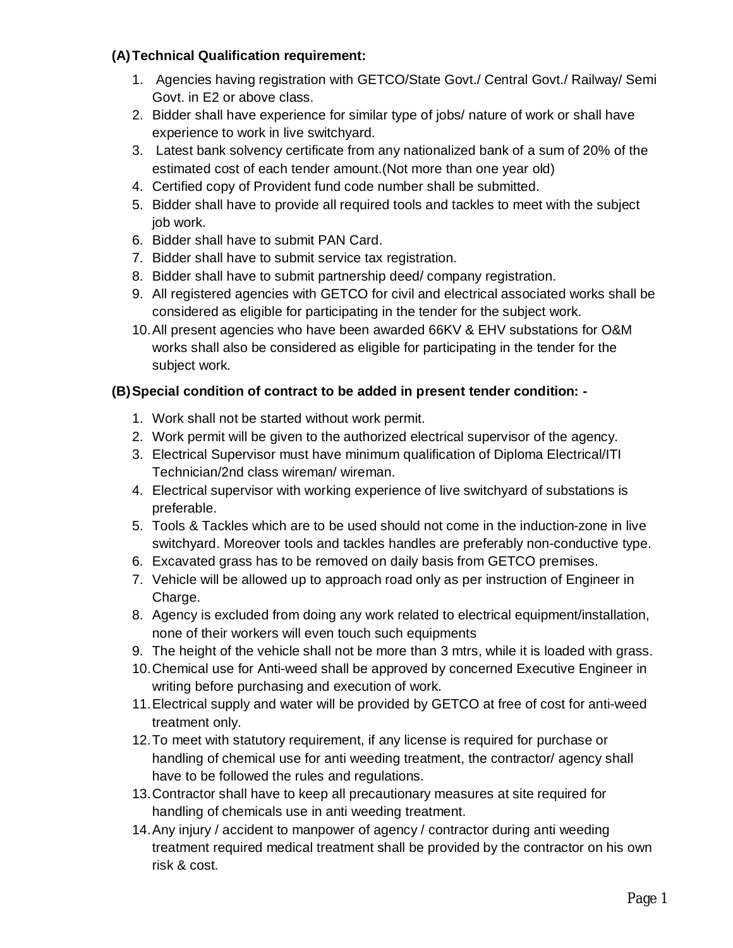## **(A)Technical Qualification requirement:**

- 1. Agencies having registration with GETCO/State Govt./ Central Govt./ Railway/ Semi Govt. in E2 or above class.
- 2. Bidder shall have experience for similar type of jobs/ nature of work or shall have experience to work in live switchyard.
- 3. Latest bank solvency certificate from any nationalized bank of a sum of 20% of the estimated cost of each tender amount.(Not more than one year old)
- 4. Certified copy of Provident fund code number shall be submitted.
- 5. Bidder shall have to provide all required tools and tackles to meet with the subject job work.
- 6. Bidder shall have to submit PAN Card.
- 7. Bidder shall have to submit service tax registration.
- 8. Bidder shall have to submit partnership deed/ company registration.
- 9. All registered agencies with GETCO for civil and electrical associated works shall be considered as eligible for participating in the tender for the subject work.
- 10.All present agencies who have been awarded 66KV & EHV substations for O&M works shall also be considered as eligible for participating in the tender for the subject work.

## **(B)Special condition of contract to be added in present tender condition: -**

- 1. Work shall not be started without work permit.
- 2. Work permit will be given to the authorized electrical supervisor of the agency.
- 3. Electrical Supervisor must have minimum qualification of Diploma Electrical/ITI Technician/2nd class wireman/ wireman.
- 4. Electrical supervisor with working experience of live switchyard of substations is preferable.
- 5. Tools & Tackles which are to be used should not come in the induction-zone in live switchyard. Moreover tools and tackles handles are preferably non-conductive type.
- 6. Excavated grass has to be removed on daily basis from GETCO premises.
- 7. Vehicle will be allowed up to approach road only as per instruction of Engineer in Charge.
- 8. Agency is excluded from doing any work related to electrical equipment/installation, none of their workers will even touch such equipments
- 9. The height of the vehicle shall not be more than 3 mtrs, while it is loaded with grass.
- 10.Chemical use for Anti-weed shall be approved by concerned Executive Engineer in writing before purchasing and execution of work.
- 11.Electrical supply and water will be provided by GETCO at free of cost for anti-weed treatment only.
- 12.To meet with statutory requirement, if any license is required for purchase or handling of chemical use for anti weeding treatment, the contractor/ agency shall have to be followed the rules and regulations.
- 13.Contractor shall have to keep all precautionary measures at site required for handling of chemicals use in anti weeding treatment.
- 14.Any injury / accident to manpower of agency / contractor during anti weeding treatment required medical treatment shall be provided by the contractor on his own risk & cost.